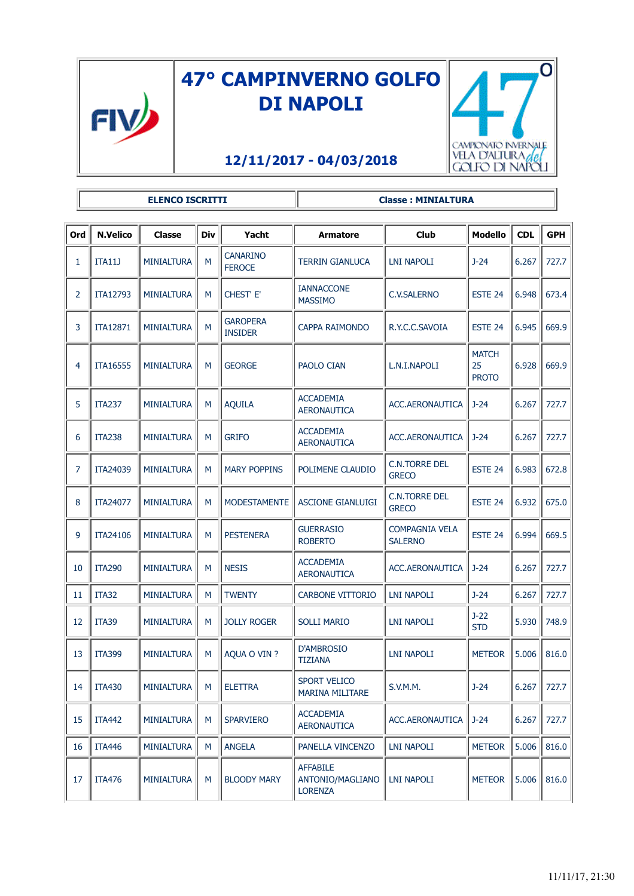

## **47° CAMPINVERNO GOLFO DI NAPOLI**

## **12/11/2017 - 04/03/2018**



**ELENCO ISCRITTI Classe : MINIALTURA** 

| Ord            | <b>N.Velico</b> | Classe                  | Div | Yacht                             | <b>Armatore</b>                                       | <b>Club</b>                             | <b>Modello</b>                     | <b>CDL</b> | <b>GPH</b> |
|----------------|-----------------|-------------------------|-----|-----------------------------------|-------------------------------------------------------|-----------------------------------------|------------------------------------|------------|------------|
| 1              | <b>ITA11J</b>   | <b>MINIALTURA</b>       | M   | <b>CANARINO</b><br><b>FEROCE</b>  | TERRIN GIANLUCA                                       | LNI NAPOLI                              | $J-24$                             | 6.267      | 727.7      |
| $\overline{2}$ | ITA12793        | <b>MINIALTURA</b>       | M   | CHEST' E'                         | <b>IANNACCONE</b><br><b>MASSIMO</b>                   | <b>C.V.SALERNO</b>                      | ESTE <sub>24</sub>                 | 6.948      | 673.4      |
| 3              | ITA12871        | <b>MINIALTURA</b>       | M   | <b>GAROPERA</b><br><b>INSIDER</b> | CAPPA RAIMONDO                                        | R.Y.C.C.SAVOIA                          | ESTE 24                            | 6.945      | 669.9      |
| 4              | ITA16555        | <b>MINIALTURA</b>       | M   | <b>GEORGE</b>                     | <b>PAOLO CIAN</b>                                     | L.N.I.NAPOLI                            | <b>MATCH</b><br>25<br><b>PROTO</b> | 6.928      | 669.9      |
| 5              | <b>ITA237</b>   | <b>MINIALTURA</b>       | M   | <b>AQUILA</b>                     | <b>ACCADEMIA</b><br><b>AERONAUTICA</b>                | ACC.AERONAUTICA                         | J-24                               | 6.267      | 727.7      |
| 6              | <b>ITA238</b>   | <b>MINIALTURA</b>       | M   | <b>GRIFO</b>                      | <b>ACCADEMIA</b><br><b>AERONAUTICA</b>                | ACC.AERONAUTICA                         | $J - 24$                           | 6.267      | 727.7      |
| 7              | ITA24039        | <b>MINIALTURA</b>       | M   | <b>MARY POPPINS</b>               | POLIMENE CLAUDIO                                      | <b>C.N.TORRE DEL</b><br><b>GRECO</b>    | <b>ESTE 24</b>                     | 6.983      | 672.8      |
| 8              | ITA24077        | <b>MINIALTURA</b>       | M   | <b>MODESTAMENTE</b>               | <b>ASCIONE GIANLUIGI</b>                              | <b>C.N.TORRE DEL</b><br><b>GRECO</b>    | ESTE <sub>24</sub>                 | 6.932      | 675.0      |
| 9              | ITA24106        | <b>MINIALTURA</b>       | M   | <b>PESTENERA</b>                  | <b>GUERRASIO</b><br><b>ROBERTO</b>                    | <b>COMPAGNIA VELA</b><br><b>SALERNO</b> | ESTE <sub>24</sub>                 | 6.994      | 669.5      |
| 10             | <b>ITA290</b>   | <b>MINIALTURA</b>       | M   | <b>NESIS</b>                      | <b>ACCADEMIA</b><br><b>AERONAUTICA</b>                | ACC.AERONAUTICA                         | $J - 24$                           | 6.267      | 727.7      |
| 11             | ITA32           | <b>MINIALTURA</b>       | М   | <b>TWENTY</b>                     | <b>CARBONE VITTORIO</b>                               | <b>LNI NAPOLI</b>                       | $J-24$                             | 6.267      | 727.7      |
| 12             | <b>ITA39</b>    | <b>MINIALTURA</b>       | M   | <b>JOLLY ROGER</b>                | <b>SOLLI MARIO</b>                                    | LNI NAPOLI                              | $J-22$<br><b>STD</b>               | 5.930      | 748.9      |
| 13             | <b>ITA399</b>   | <b>MINIALTURA</b>       | M   | AQUA O VIN ?                      | <b>D'AMBROSIO</b><br><b>TIZIANA</b>                   | LNI NAPOLI                              | <b>METEOR</b>                      | 5.006      | 816.0      |
| 14             | <b>ITA430</b>   | <b>MINIALTURA</b><br>J. | M   | <b>ELETTRA</b>                    | <b>SPORT VELICO</b><br><b>MARINA MILITARE</b>         | S.V.M.M.                                | $J-24$                             | 6.267<br>L | 727.7      |
| 15             | <b>ITA442</b>   | <b>MINIALTURA</b>       | M   | <b>SPARVIERO</b>                  | <b>ACCADEMIA</b><br><b>AERONAUTICA</b>                | ACC.AERONAUTICA                         | $J-24$                             | 6.267      | 727.7      |
| 16             | <b>ITA446</b>   | <b>MINIALTURA</b>       | М   | <b>ANGELA</b>                     | PANELLA VINCENZO                                      | <b>LNI NAPOLI</b>                       | <b>METEOR</b>                      | 5.006      | 816.0      |
| 17             | <b>ITA476</b>   | <b>MINIALTURA</b>       | M   | <b>BLOODY MARY</b>                | <b>AFFABILE</b><br>ANTONIO/MAGLIANO<br><b>LORENZA</b> | <b>LNI NAPOLI</b>                       | <b>METEOR</b>                      | 5.006      | 816.0      |